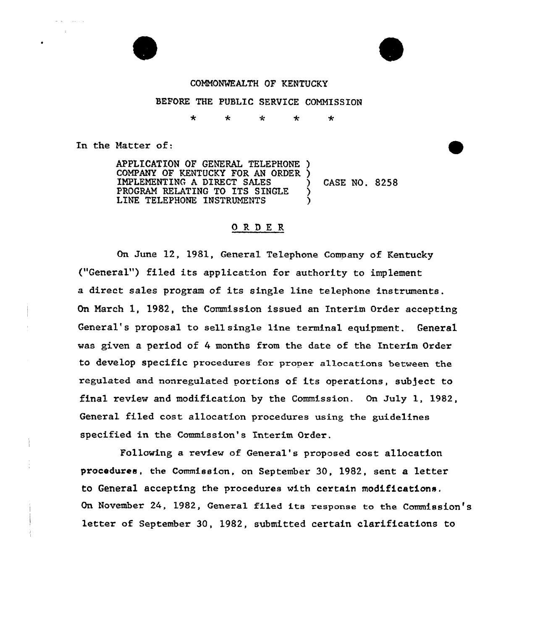## COMMOWEALTH OF KENTUCKY

## BEFORE THE PUBLIC SERVICE COMMISSION

÷  $\star$ ÷ ÷  $\star$ 

In the Hatter of:

APPLICATION OF GENERAL TELEPHONE ) COMPANY OF KENTUCKY FOR AN ORDER ) IMPLEMENTING <sup>A</sup> DIRECT SALES ) CASE NO. 8258 PROGRAM RELATING TO ITS SINGLE LINE TELEPHONE INSTRUMENTS

## ORDER

On June 12, 1981, General Telephone Company of Kentucky ("General") filed its application for authority to implement a direct sales program of its single line telephone instruments. On Narch 1, 1982, the Commission issued an Interim Order accepting General's proposa1 to sell single line terminal equipment. General was given a period of 4 months from the date of the Interim Order to develop specific procedures for proper allocations between the regulated and nonregulated portions of its operations, subject to final review and modification by the Commission. On July 1, 1982, General filed cost allocation procedures using the guidelines specified in the Commission's Interim Order.

Following a review of General's proposed cost allocation procedures, the Commission, on September 30, 1982, sent a letter to General accepting the procedures with certain modifications. On November 24, 1982, General filed its response to the Commission's letter of September 30, 1982, submitted certain clarifications to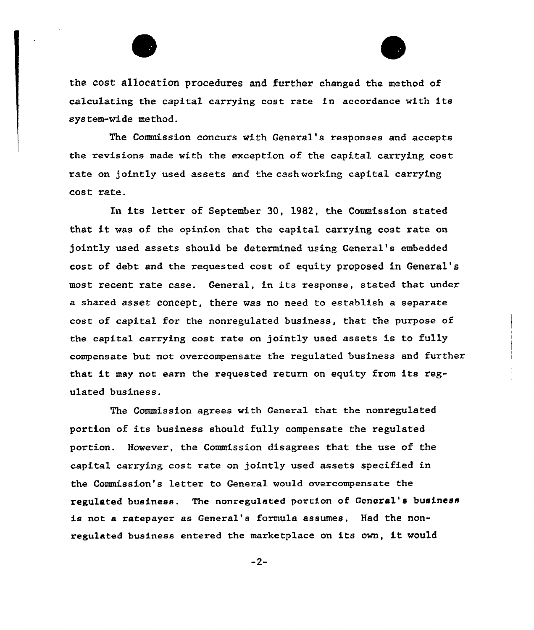



the cost allocation procedures and further changed the method of calculating the capital carrying cost rate in accordance with its system-wide method.

The Commission concurs with General's responses and accepts the revisions made with the exception of the capital carrying cost rate on jointly used assets and the cash working capital carrying cost rate.

In its letter of September 30, 1982, the Commission stated that it was of the opinion that the capital carrying cost rate on jointly used assets should be determined using General's embedded cost of debt and the requested cost of equity proposed in General' most recent rate case. General, in its response, stated that under a shared asset concept, there was no need to establish a separate cost of capital for the nonregulated business, that the purpose of the capital carrying cost rate on jointly used assets is to fully compensate but not overcompensate the regulated business and further that it may not earn the requested return on equity from its regulated business.

The Commission agrees with General that the nonregulated portion of its business should fully compensate the regulated portion. However, the Commission disagrees that the use of the capital carrying cost rate on jointly used assets specified in the Commission's letter to General would overcompensate the regulated business. The nonregulated portion of General's business is not a ratepayer as General's formula assumes. Had the nonregulated business entered the marketplace on its own, it would

 $-2-$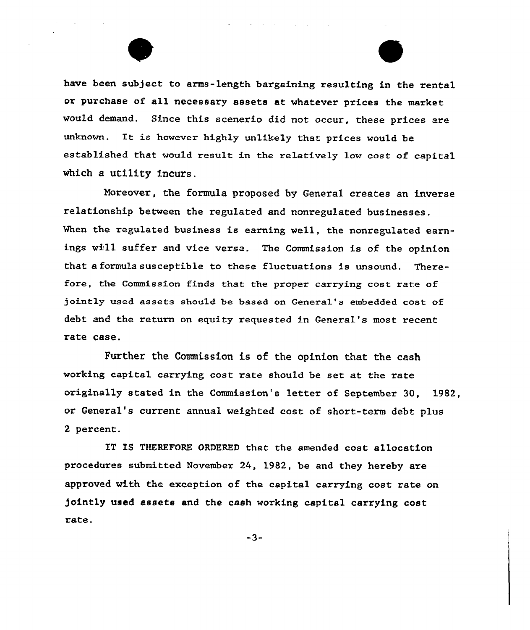

Moreover, the formula proposed by General creates an inverse relationship between the xegulated and nonregulated businesses. When the regulated business is earning well, the nonregulated earnings will suffer and vice versa. The Commission is of the opinion that a formula susceptible to these fluctuations is unsound. Therefore, the Commission finds that the proper carrying cost rate of jointly used assets should be based on General's embedded cost of debt and the return on equity requested in General's most recent rate case.

Further the Commission is of the opinion that the cash working capital carrying cost rate should be set at the rate originally stated in the Commission's letter of September 30, 1982, or General's current annual weighted cost of short-term debt plus 2 percent.

IT IS THEREFORE ORDERED that the amended cost allocation procedures submitted November 24, 1982, be and they hereby are approved with the exception of the capital carrying cost rate on jointly used assets and the cash working capital carrying cost rate.

-3-